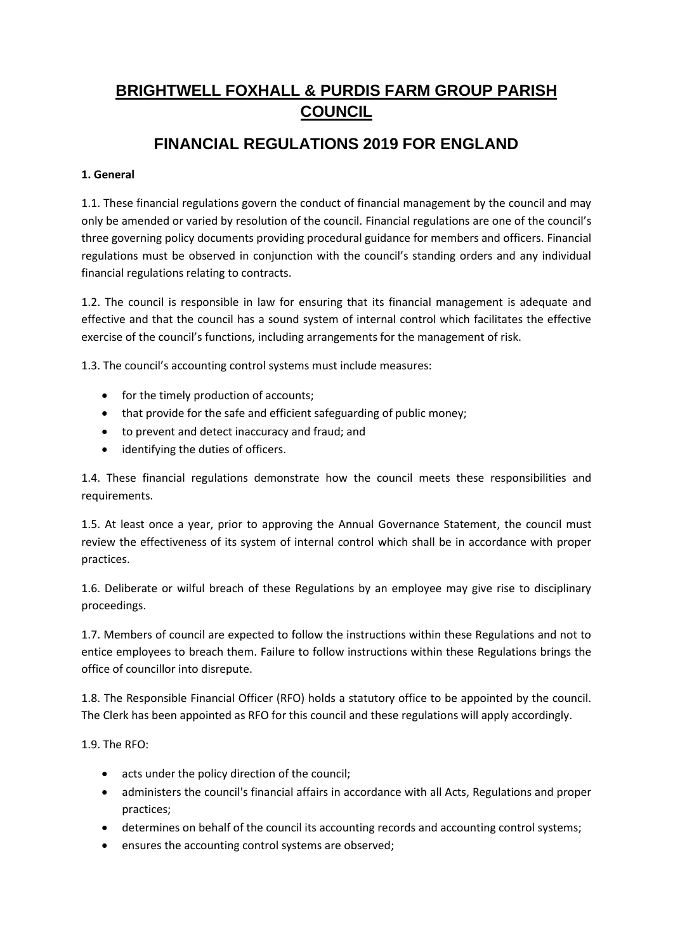# **BRIGHTWELL FOXHALL & PURDIS FARM GROUP PARISH COUNCIL**

# **FINANCIAL REGULATIONS 2019 FOR ENGLAND**

### **1. General**

1.1. These financial regulations govern the conduct of financial management by the council and may only be amended or varied by resolution of the council. Financial regulations are one of the council's three governing policy documents providing procedural guidance for members and officers. Financial regulations must be observed in conjunction with the council's standing orders and any individual financial regulations relating to contracts.

1.2. The council is responsible in law for ensuring that its financial management is adequate and effective and that the council has a sound system of internal control which facilitates the effective exercise of the council's functions, including arrangements for the management of risk.

1.3. The council's accounting control systems must include measures:

- for the timely production of accounts;
- that provide for the safe and efficient safeguarding of public money;
- to prevent and detect inaccuracy and fraud; and
- identifying the duties of officers.

1.4. These financial regulations demonstrate how the council meets these responsibilities and requirements.

1.5. At least once a year, prior to approving the Annual Governance Statement, the council must review the effectiveness of its system of internal control which shall be in accordance with proper practices.

1.6. Deliberate or wilful breach of these Regulations by an employee may give rise to disciplinary proceedings.

1.7. Members of council are expected to follow the instructions within these Regulations and not to entice employees to breach them. Failure to follow instructions within these Regulations brings the office of councillor into disrepute.

1.8. The Responsible Financial Officer (RFO) holds a statutory office to be appointed by the council. The Clerk has been appointed as RFO for this council and these regulations will apply accordingly.

1.9. The RFO:

- acts under the policy direction of the council;
- administers the council's financial affairs in accordance with all Acts, Regulations and proper practices;
- determines on behalf of the council its accounting records and accounting control systems;
- ensures the accounting control systems are observed;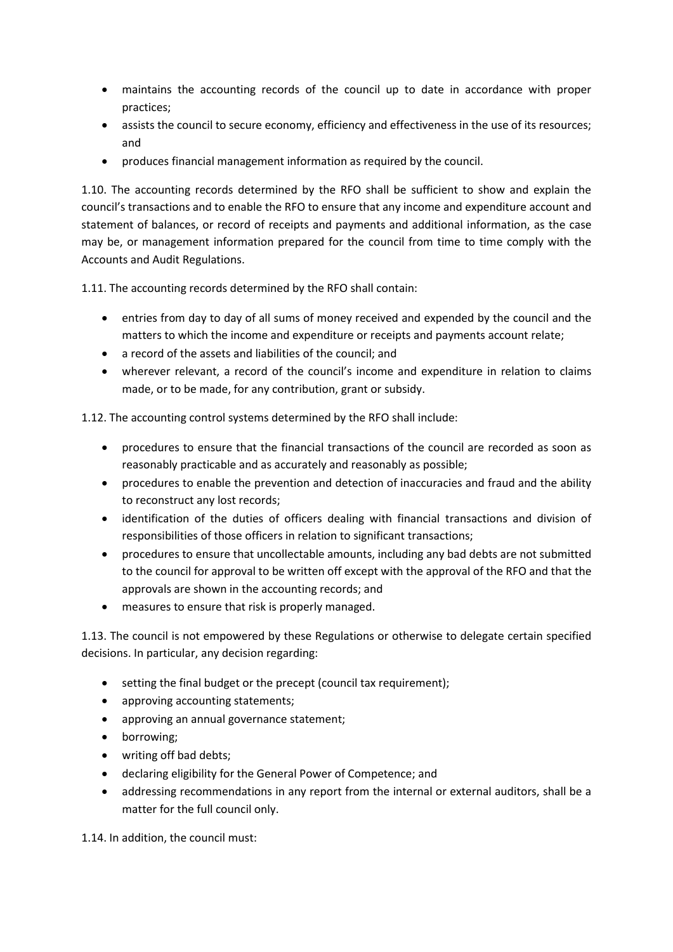- maintains the accounting records of the council up to date in accordance with proper practices;
- assists the council to secure economy, efficiency and effectiveness in the use of its resources; and
- produces financial management information as required by the council.

1.10. The accounting records determined by the RFO shall be sufficient to show and explain the council's transactions and to enable the RFO to ensure that any income and expenditure account and statement of balances, or record of receipts and payments and additional information, as the case may be, or management information prepared for the council from time to time comply with the Accounts and Audit Regulations.

1.11. The accounting records determined by the RFO shall contain:

- entries from day to day of all sums of money received and expended by the council and the matters to which the income and expenditure or receipts and payments account relate;
- a record of the assets and liabilities of the council; and
- wherever relevant, a record of the council's income and expenditure in relation to claims made, or to be made, for any contribution, grant or subsidy.

1.12. The accounting control systems determined by the RFO shall include:

- procedures to ensure that the financial transactions of the council are recorded as soon as reasonably practicable and as accurately and reasonably as possible;
- procedures to enable the prevention and detection of inaccuracies and fraud and the ability to reconstruct any lost records;
- identification of the duties of officers dealing with financial transactions and division of responsibilities of those officers in relation to significant transactions;
- procedures to ensure that uncollectable amounts, including any bad debts are not submitted to the council for approval to be written off except with the approval of the RFO and that the approvals are shown in the accounting records; and
- measures to ensure that risk is properly managed.

1.13. The council is not empowered by these Regulations or otherwise to delegate certain specified decisions. In particular, any decision regarding:

- setting the final budget or the precept (council tax requirement);
- approving accounting statements:
- approving an annual governance statement;
- borrowing;
- writing off bad debts;
- declaring eligibility for the General Power of Competence; and
- addressing recommendations in any report from the internal or external auditors, shall be a matter for the full council only.

1.14. In addition, the council must: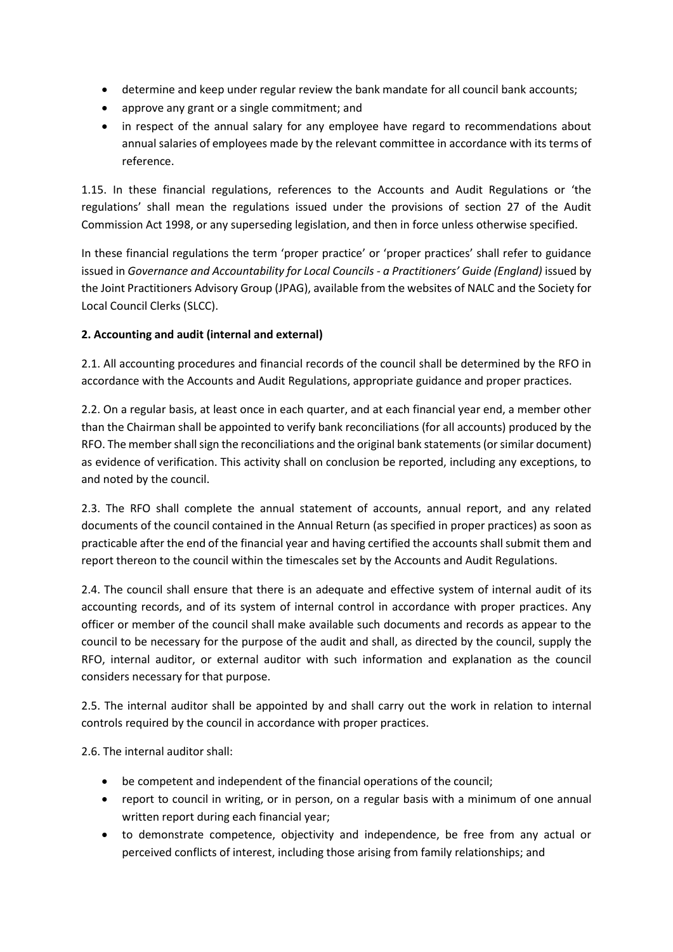- determine and keep under regular review the bank mandate for all council bank accounts;
- approve any grant or a single commitment; and
- in respect of the annual salary for any employee have regard to recommendations about annual salaries of employees made by the relevant committee in accordance with its terms of reference.

1.15. In these financial regulations, references to the Accounts and Audit Regulations or 'the regulations' shall mean the regulations issued under the provisions of section 27 of the Audit Commission Act 1998, or any superseding legislation, and then in force unless otherwise specified.

In these financial regulations the term 'proper practice' or 'proper practices' shall refer to guidance issued in *Governance and Accountability for Local Councils - a Practitioners' Guide (England)* issued by the Joint Practitioners Advisory Group (JPAG), available from the websites of NALC and the Society for Local Council Clerks (SLCC).

## **2. Accounting and audit (internal and external)**

2.1. All accounting procedures and financial records of the council shall be determined by the RFO in accordance with the Accounts and Audit Regulations, appropriate guidance and proper practices.

2.2. On a regular basis, at least once in each quarter, and at each financial year end, a member other than the Chairman shall be appointed to verify bank reconciliations (for all accounts) produced by the RFO. The member shall sign the reconciliations and the original bank statements (or similar document) as evidence of verification. This activity shall on conclusion be reported, including any exceptions, to and noted by the council.

2.3. The RFO shall complete the annual statement of accounts, annual report, and any related documents of the council contained in the Annual Return (as specified in proper practices) as soon as practicable after the end of the financial year and having certified the accounts shall submit them and report thereon to the council within the timescales set by the Accounts and Audit Regulations.

2.4. The council shall ensure that there is an adequate and effective system of internal audit of its accounting records, and of its system of internal control in accordance with proper practices. Any officer or member of the council shall make available such documents and records as appear to the council to be necessary for the purpose of the audit and shall, as directed by the council, supply the RFO, internal auditor, or external auditor with such information and explanation as the council considers necessary for that purpose.

2.5. The internal auditor shall be appointed by and shall carry out the work in relation to internal controls required by the council in accordance with proper practices.

2.6. The internal auditor shall:

- be competent and independent of the financial operations of the council;
- report to council in writing, or in person, on a regular basis with a minimum of one annual written report during each financial year;
- to demonstrate competence, objectivity and independence, be free from any actual or perceived conflicts of interest, including those arising from family relationships; and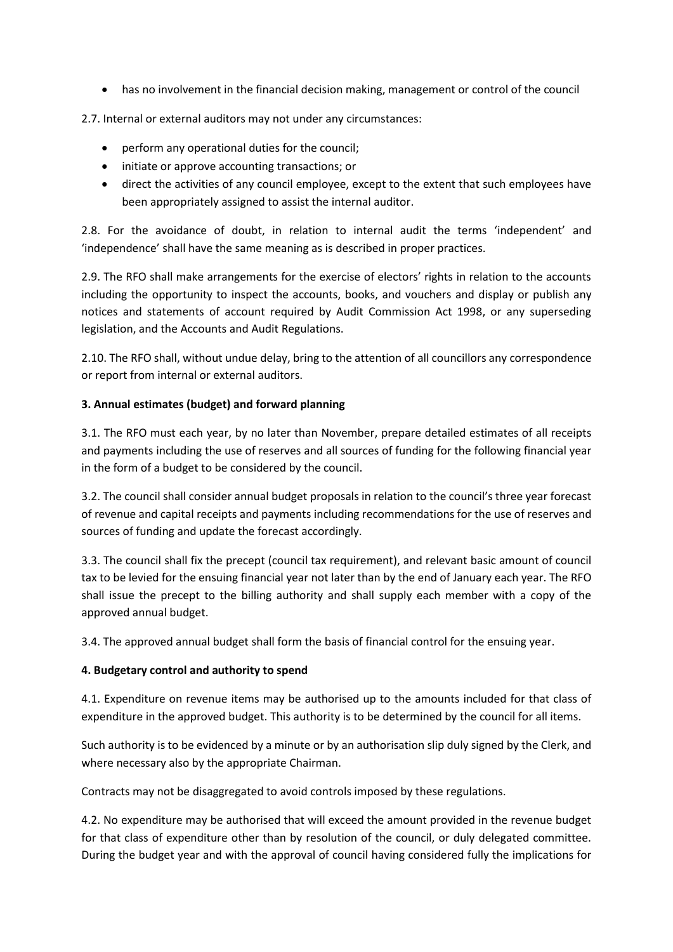• has no involvement in the financial decision making, management or control of the council

2.7. Internal or external auditors may not under any circumstances:

- perform any operational duties for the council;
- initiate or approve accounting transactions; or
- direct the activities of any council employee, except to the extent that such employees have been appropriately assigned to assist the internal auditor.

2.8. For the avoidance of doubt, in relation to internal audit the terms 'independent' and 'independence' shall have the same meaning as is described in proper practices.

2.9. The RFO shall make arrangements for the exercise of electors' rights in relation to the accounts including the opportunity to inspect the accounts, books, and vouchers and display or publish any notices and statements of account required by Audit Commission Act 1998, or any superseding legislation, and the Accounts and Audit Regulations.

2.10. The RFO shall, without undue delay, bring to the attention of all councillors any correspondence or report from internal or external auditors.

### **3. Annual estimates (budget) and forward planning**

3.1. The RFO must each year, by no later than November, prepare detailed estimates of all receipts and payments including the use of reserves and all sources of funding for the following financial year in the form of a budget to be considered by the council.

3.2. The council shall consider annual budget proposals in relation to the council's three year forecast of revenue and capital receipts and payments including recommendations for the use of reserves and sources of funding and update the forecast accordingly.

3.3. The council shall fix the precept (council tax requirement), and relevant basic amount of council tax to be levied for the ensuing financial year not later than by the end of January each year. The RFO shall issue the precept to the billing authority and shall supply each member with a copy of the approved annual budget.

3.4. The approved annual budget shall form the basis of financial control for the ensuing year.

### **4. Budgetary control and authority to spend**

4.1. Expenditure on revenue items may be authorised up to the amounts included for that class of expenditure in the approved budget. This authority is to be determined by the council for all items.

Such authority is to be evidenced by a minute or by an authorisation slip duly signed by the Clerk, and where necessary also by the appropriate Chairman.

Contracts may not be disaggregated to avoid controls imposed by these regulations.

4.2. No expenditure may be authorised that will exceed the amount provided in the revenue budget for that class of expenditure other than by resolution of the council, or duly delegated committee. During the budget year and with the approval of council having considered fully the implications for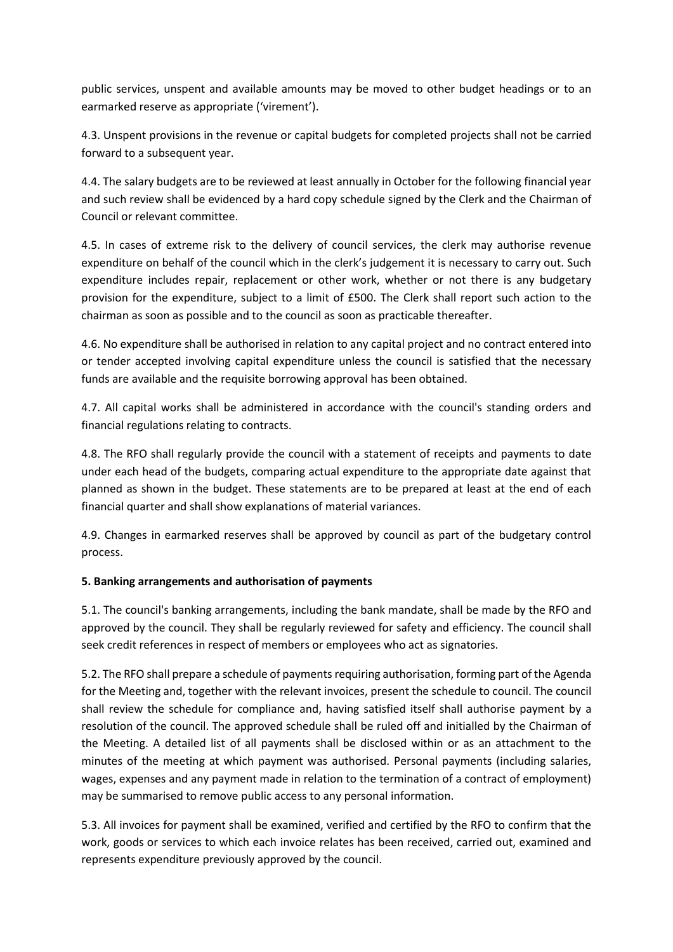public services, unspent and available amounts may be moved to other budget headings or to an earmarked reserve as appropriate ('virement').

4.3. Unspent provisions in the revenue or capital budgets for completed projects shall not be carried forward to a subsequent year.

4.4. The salary budgets are to be reviewed at least annually in October for the following financial year and such review shall be evidenced by a hard copy schedule signed by the Clerk and the Chairman of Council or relevant committee.

4.5. In cases of extreme risk to the delivery of council services, the clerk may authorise revenue expenditure on behalf of the council which in the clerk's judgement it is necessary to carry out. Such expenditure includes repair, replacement or other work, whether or not there is any budgetary provision for the expenditure, subject to a limit of £500. The Clerk shall report such action to the chairman as soon as possible and to the council as soon as practicable thereafter.

4.6. No expenditure shall be authorised in relation to any capital project and no contract entered into or tender accepted involving capital expenditure unless the council is satisfied that the necessary funds are available and the requisite borrowing approval has been obtained.

4.7. All capital works shall be administered in accordance with the council's standing orders and financial regulations relating to contracts.

4.8. The RFO shall regularly provide the council with a statement of receipts and payments to date under each head of the budgets, comparing actual expenditure to the appropriate date against that planned as shown in the budget. These statements are to be prepared at least at the end of each financial quarter and shall show explanations of material variances.

4.9. Changes in earmarked reserves shall be approved by council as part of the budgetary control process.

### **5. Banking arrangements and authorisation of payments**

5.1. The council's banking arrangements, including the bank mandate, shall be made by the RFO and approved by the council. They shall be regularly reviewed for safety and efficiency. The council shall seek credit references in respect of members or employees who act as signatories.

5.2. The RFO shall prepare a schedule of payments requiring authorisation, forming part of the Agenda for the Meeting and, together with the relevant invoices, present the schedule to council. The council shall review the schedule for compliance and, having satisfied itself shall authorise payment by a resolution of the council. The approved schedule shall be ruled off and initialled by the Chairman of the Meeting. A detailed list of all payments shall be disclosed within or as an attachment to the minutes of the meeting at which payment was authorised. Personal payments (including salaries, wages, expenses and any payment made in relation to the termination of a contract of employment) may be summarised to remove public access to any personal information.

5.3. All invoices for payment shall be examined, verified and certified by the RFO to confirm that the work, goods or services to which each invoice relates has been received, carried out, examined and represents expenditure previously approved by the council.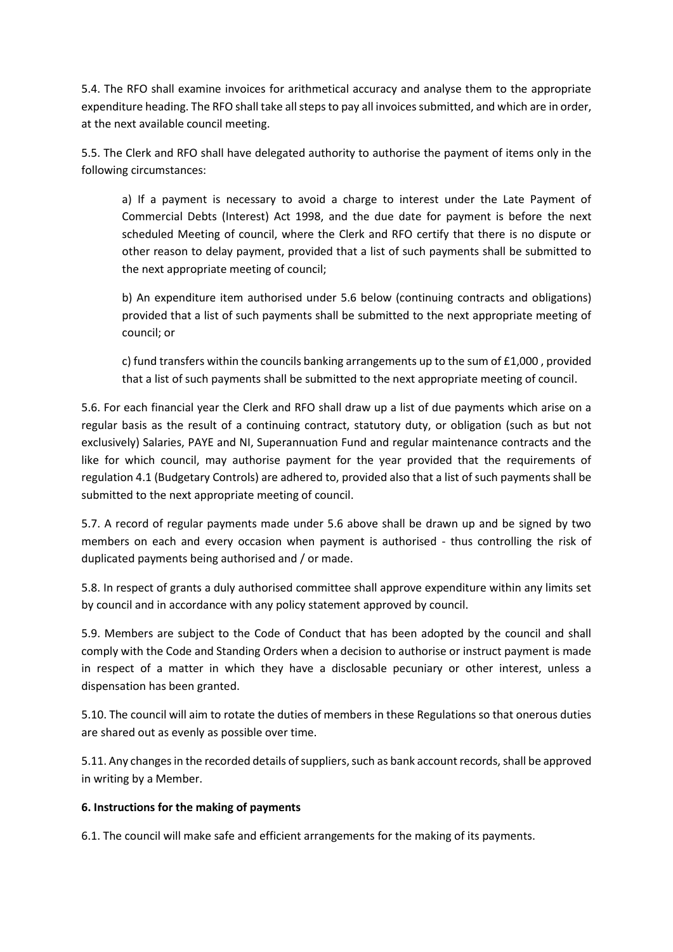5.4. The RFO shall examine invoices for arithmetical accuracy and analyse them to the appropriate expenditure heading. The RFO shall take all steps to pay all invoices submitted, and which are in order, at the next available council meeting.

5.5. The Clerk and RFO shall have delegated authority to authorise the payment of items only in the following circumstances:

a) If a payment is necessary to avoid a charge to interest under the Late Payment of Commercial Debts (Interest) Act 1998, and the due date for payment is before the next scheduled Meeting of council, where the Clerk and RFO certify that there is no dispute or other reason to delay payment, provided that a list of such payments shall be submitted to the next appropriate meeting of council;

b) An expenditure item authorised under 5.6 below (continuing contracts and obligations) provided that a list of such payments shall be submitted to the next appropriate meeting of council; or

c) fund transfers within the councils banking arrangements up to the sum of £1,000 , provided that a list of such payments shall be submitted to the next appropriate meeting of council.

5.6. For each financial year the Clerk and RFO shall draw up a list of due payments which arise on a regular basis as the result of a continuing contract, statutory duty, or obligation (such as but not exclusively) Salaries, PAYE and NI, Superannuation Fund and regular maintenance contracts and the like for which council, may authorise payment for the year provided that the requirements of regulation 4.1 (Budgetary Controls) are adhered to, provided also that a list of such payments shall be submitted to the next appropriate meeting of council.

5.7. A record of regular payments made under 5.6 above shall be drawn up and be signed by two members on each and every occasion when payment is authorised - thus controlling the risk of duplicated payments being authorised and / or made.

5.8. In respect of grants a duly authorised committee shall approve expenditure within any limits set by council and in accordance with any policy statement approved by council.

5.9. Members are subject to the Code of Conduct that has been adopted by the council and shall comply with the Code and Standing Orders when a decision to authorise or instruct payment is made in respect of a matter in which they have a disclosable pecuniary or other interest, unless a dispensation has been granted.

5.10. The council will aim to rotate the duties of members in these Regulations so that onerous duties are shared out as evenly as possible over time.

5.11. Any changes in the recorded details of suppliers, such as bank account records, shall be approved in writing by a Member.

### **6. Instructions for the making of payments**

6.1. The council will make safe and efficient arrangements for the making of its payments.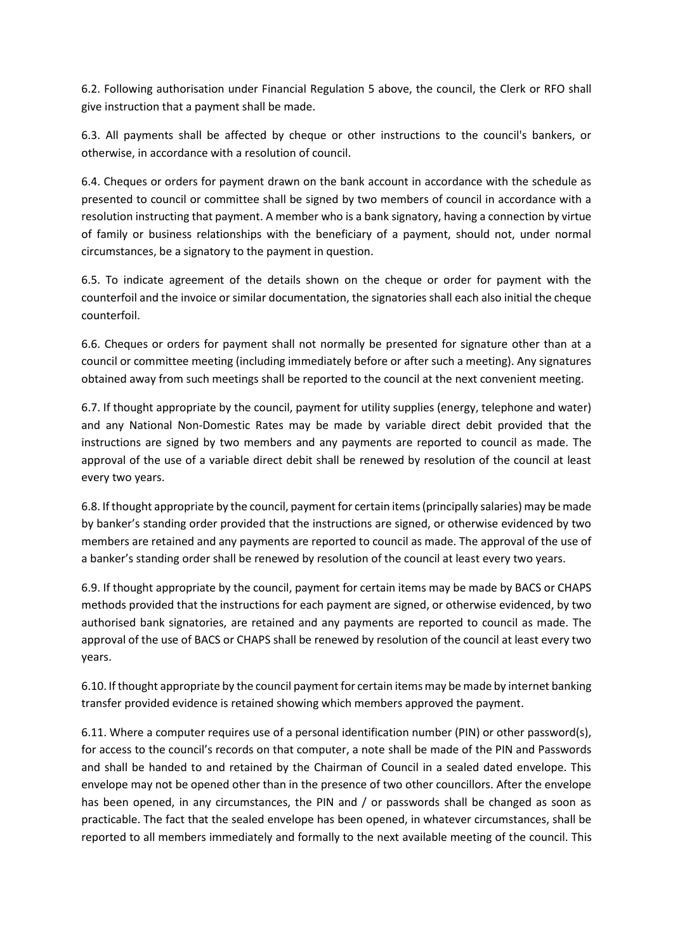6.2. Following authorisation under Financial Regulation 5 above, the council, the Clerk or RFO shall give instruction that a payment shall be made.

6.3. All payments shall be affected by cheque or other instructions to the council's bankers, or otherwise, in accordance with a resolution of council.

6.4. Cheques or orders for payment drawn on the bank account in accordance with the schedule as presented to council or committee shall be signed by two members of council in accordance with a resolution instructing that payment. A member who is a bank signatory, having a connection by virtue of family or business relationships with the beneficiary of a payment, should not, under normal circumstances, be a signatory to the payment in question.

6.5. To indicate agreement of the details shown on the cheque or order for payment with the counterfoil and the invoice or similar documentation, the signatories shall each also initial the cheque counterfoil.

6.6. Cheques or orders for payment shall not normally be presented for signature other than at a council or committee meeting (including immediately before or after such a meeting). Any signatures obtained away from such meetings shall be reported to the council at the next convenient meeting.

6.7. If thought appropriate by the council, payment for utility supplies (energy, telephone and water) and any National Non-Domestic Rates may be made by variable direct debit provided that the instructions are signed by two members and any payments are reported to council as made. The approval of the use of a variable direct debit shall be renewed by resolution of the council at least every two years.

6.8. If thought appropriate by the council, payment for certain items (principally salaries) may be made by banker's standing order provided that the instructions are signed, or otherwise evidenced by two members are retained and any payments are reported to council as made. The approval of the use of a banker's standing order shall be renewed by resolution of the council at least every two years.

6.9. If thought appropriate by the council, payment for certain items may be made by BACS or CHAPS methods provided that the instructions for each payment are signed, or otherwise evidenced, by two authorised bank signatories, are retained and any payments are reported to council as made. The approval of the use of BACS or CHAPS shall be renewed by resolution of the council at least every two years.

6.10. If thought appropriate by the council payment for certain items may be made by internet banking transfer provided evidence is retained showing which members approved the payment.

6.11. Where a computer requires use of a personal identification number (PIN) or other password(s), for access to the council's records on that computer, a note shall be made of the PIN and Passwords and shall be handed to and retained by the Chairman of Council in a sealed dated envelope. This envelope may not be opened other than in the presence of two other councillors. After the envelope has been opened, in any circumstances, the PIN and / or passwords shall be changed as soon as practicable. The fact that the sealed envelope has been opened, in whatever circumstances, shall be reported to all members immediately and formally to the next available meeting of the council. This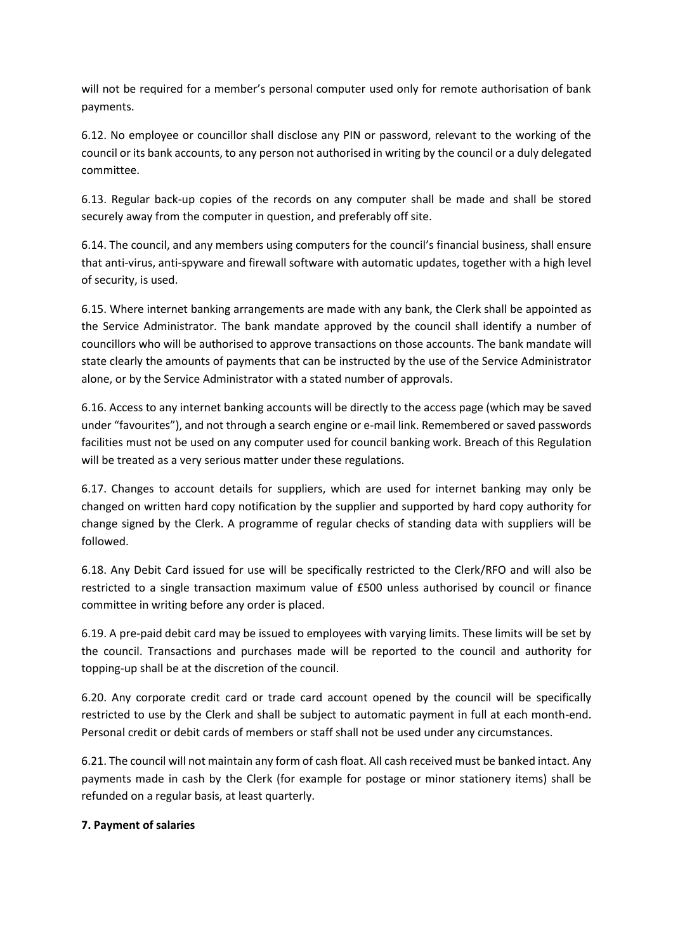will not be required for a member's personal computer used only for remote authorisation of bank payments.

6.12. No employee or councillor shall disclose any PIN or password, relevant to the working of the council or its bank accounts, to any person not authorised in writing by the council or a duly delegated committee.

6.13. Regular back-up copies of the records on any computer shall be made and shall be stored securely away from the computer in question, and preferably off site.

6.14. The council, and any members using computers for the council's financial business, shall ensure that anti-virus, anti-spyware and firewall software with automatic updates, together with a high level of security, is used.

6.15. Where internet banking arrangements are made with any bank, the Clerk shall be appointed as the Service Administrator. The bank mandate approved by the council shall identify a number of councillors who will be authorised to approve transactions on those accounts. The bank mandate will state clearly the amounts of payments that can be instructed by the use of the Service Administrator alone, or by the Service Administrator with a stated number of approvals.

6.16. Access to any internet banking accounts will be directly to the access page (which may be saved under "favourites"), and not through a search engine or e-mail link. Remembered or saved passwords facilities must not be used on any computer used for council banking work. Breach of this Regulation will be treated as a very serious matter under these regulations.

6.17. Changes to account details for suppliers, which are used for internet banking may only be changed on written hard copy notification by the supplier and supported by hard copy authority for change signed by the Clerk. A programme of regular checks of standing data with suppliers will be followed.

6.18. Any Debit Card issued for use will be specifically restricted to the Clerk/RFO and will also be restricted to a single transaction maximum value of £500 unless authorised by council or finance committee in writing before any order is placed.

6.19. A pre-paid debit card may be issued to employees with varying limits. These limits will be set by the council. Transactions and purchases made will be reported to the council and authority for topping-up shall be at the discretion of the council.

6.20. Any corporate credit card or trade card account opened by the council will be specifically restricted to use by the Clerk and shall be subject to automatic payment in full at each month-end. Personal credit or debit cards of members or staff shall not be used under any circumstances.

6.21. The council will not maintain any form of cash float. All cash received must be banked intact. Any payments made in cash by the Clerk (for example for postage or minor stationery items) shall be refunded on a regular basis, at least quarterly.

### **7. Payment of salaries**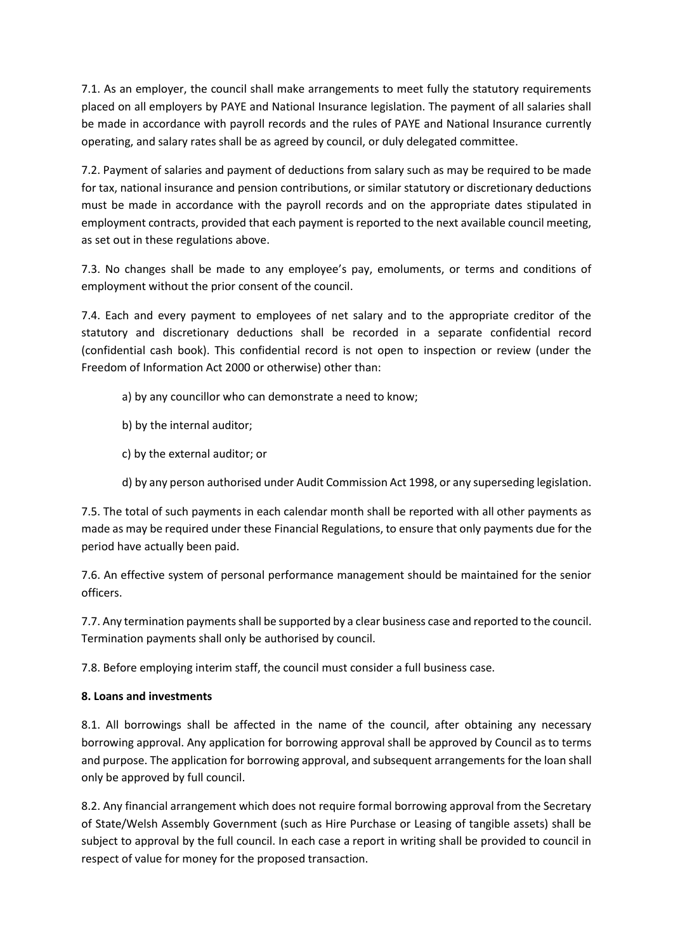7.1. As an employer, the council shall make arrangements to meet fully the statutory requirements placed on all employers by PAYE and National Insurance legislation. The payment of all salaries shall be made in accordance with payroll records and the rules of PAYE and National Insurance currently operating, and salary rates shall be as agreed by council, or duly delegated committee.

7.2. Payment of salaries and payment of deductions from salary such as may be required to be made for tax, national insurance and pension contributions, or similar statutory or discretionary deductions must be made in accordance with the payroll records and on the appropriate dates stipulated in employment contracts, provided that each payment is reported to the next available council meeting, as set out in these regulations above.

7.3. No changes shall be made to any employee's pay, emoluments, or terms and conditions of employment without the prior consent of the council.

7.4. Each and every payment to employees of net salary and to the appropriate creditor of the statutory and discretionary deductions shall be recorded in a separate confidential record (confidential cash book). This confidential record is not open to inspection or review (under the Freedom of Information Act 2000 or otherwise) other than:

- a) by any councillor who can demonstrate a need to know;
- b) by the internal auditor;
- c) by the external auditor; or
- d) by any person authorised under Audit Commission Act 1998, or any superseding legislation.

7.5. The total of such payments in each calendar month shall be reported with all other payments as made as may be required under these Financial Regulations, to ensure that only payments due for the period have actually been paid.

7.6. An effective system of personal performance management should be maintained for the senior officers.

7.7. Any termination payments shall be supported by a clear business case and reported to the council. Termination payments shall only be authorised by council.

7.8. Before employing interim staff, the council must consider a full business case.

### **8. Loans and investments**

8.1. All borrowings shall be affected in the name of the council, after obtaining any necessary borrowing approval. Any application for borrowing approval shall be approved by Council as to terms and purpose. The application for borrowing approval, and subsequent arrangements for the loan shall only be approved by full council.

8.2. Any financial arrangement which does not require formal borrowing approval from the Secretary of State/Welsh Assembly Government (such as Hire Purchase or Leasing of tangible assets) shall be subject to approval by the full council. In each case a report in writing shall be provided to council in respect of value for money for the proposed transaction.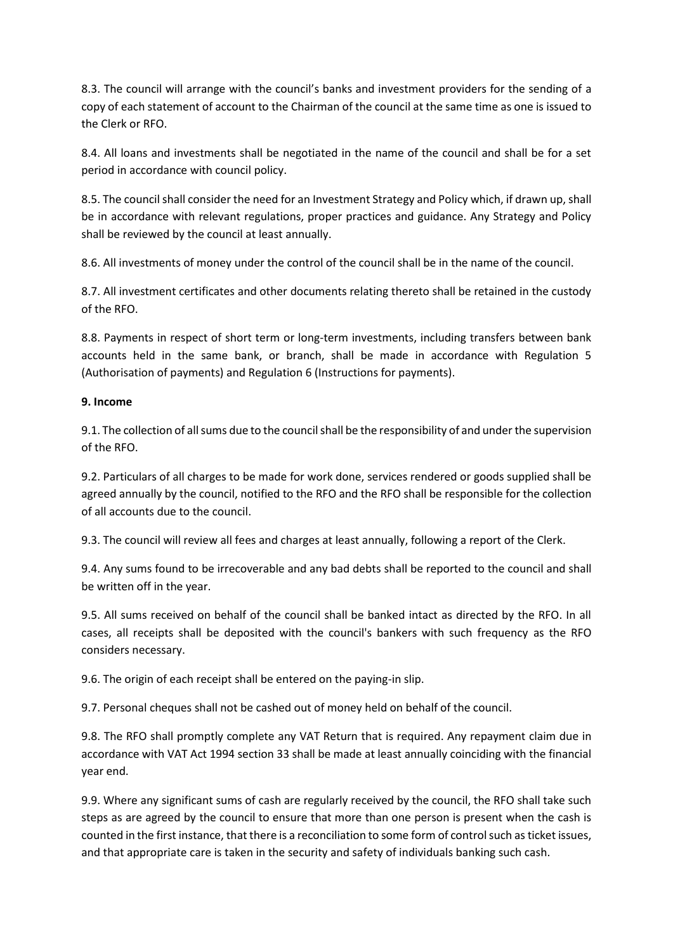8.3. The council will arrange with the council's banks and investment providers for the sending of a copy of each statement of account to the Chairman of the council at the same time as one is issued to the Clerk or RFO.

8.4. All loans and investments shall be negotiated in the name of the council and shall be for a set period in accordance with council policy.

8.5. The council shall consider the need for an Investment Strategy and Policy which, if drawn up, shall be in accordance with relevant regulations, proper practices and guidance. Any Strategy and Policy shall be reviewed by the council at least annually.

8.6. All investments of money under the control of the council shall be in the name of the council.

8.7. All investment certificates and other documents relating thereto shall be retained in the custody of the RFO.

8.8. Payments in respect of short term or long-term investments, including transfers between bank accounts held in the same bank, or branch, shall be made in accordance with Regulation 5 (Authorisation of payments) and Regulation 6 (Instructions for payments).

#### **9. Income**

9.1. The collection of all sums due to the council shall be the responsibility of and under the supervision of the RFO.

9.2. Particulars of all charges to be made for work done, services rendered or goods supplied shall be agreed annually by the council, notified to the RFO and the RFO shall be responsible for the collection of all accounts due to the council.

9.3. The council will review all fees and charges at least annually, following a report of the Clerk.

9.4. Any sums found to be irrecoverable and any bad debts shall be reported to the council and shall be written off in the year.

9.5. All sums received on behalf of the council shall be banked intact as directed by the RFO. In all cases, all receipts shall be deposited with the council's bankers with such frequency as the RFO considers necessary.

9.6. The origin of each receipt shall be entered on the paying-in slip.

9.7. Personal cheques shall not be cashed out of money held on behalf of the council.

9.8. The RFO shall promptly complete any VAT Return that is required. Any repayment claim due in accordance with VAT Act 1994 section 33 shall be made at least annually coinciding with the financial year end.

9.9. Where any significant sums of cash are regularly received by the council, the RFO shall take such steps as are agreed by the council to ensure that more than one person is present when the cash is counted in the first instance, that there is a reconciliation to some form of control such as ticket issues, and that appropriate care is taken in the security and safety of individuals banking such cash.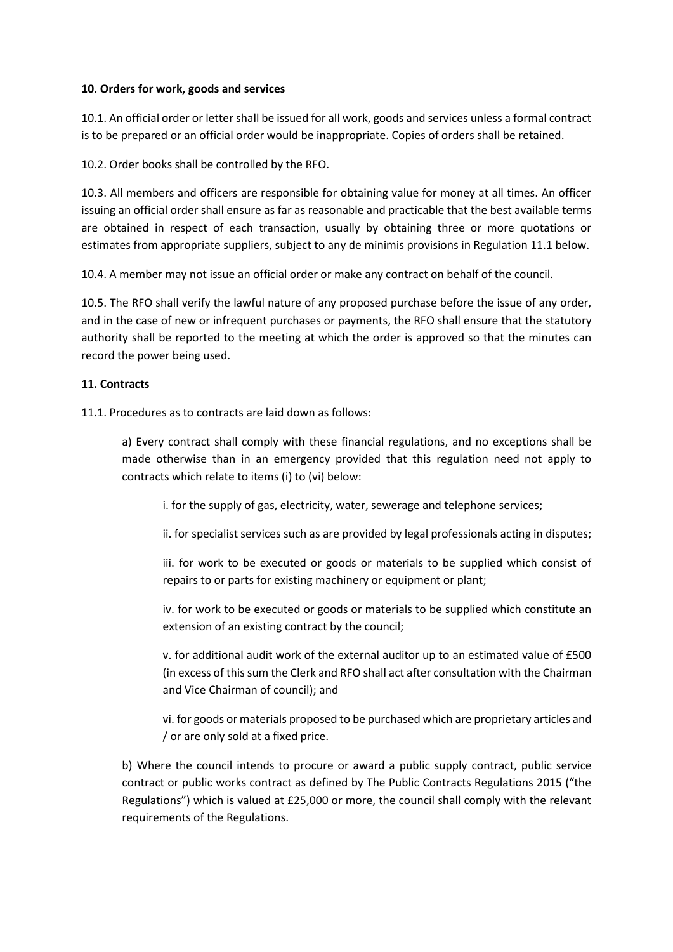#### **10. Orders for work, goods and services**

10.1. An official order or letter shall be issued for all work, goods and services unless a formal contract is to be prepared or an official order would be inappropriate. Copies of orders shall be retained.

10.2. Order books shall be controlled by the RFO.

10.3. All members and officers are responsible for obtaining value for money at all times. An officer issuing an official order shall ensure as far as reasonable and practicable that the best available terms are obtained in respect of each transaction, usually by obtaining three or more quotations or estimates from appropriate suppliers, subject to any de minimis provisions in Regulation 11.1 below.

10.4. A member may not issue an official order or make any contract on behalf of the council.

10.5. The RFO shall verify the lawful nature of any proposed purchase before the issue of any order, and in the case of new or infrequent purchases or payments, the RFO shall ensure that the statutory authority shall be reported to the meeting at which the order is approved so that the minutes can record the power being used.

### **11. Contracts**

11.1. Procedures as to contracts are laid down as follows:

a) Every contract shall comply with these financial regulations, and no exceptions shall be made otherwise than in an emergency provided that this regulation need not apply to contracts which relate to items (i) to (vi) below:

i. for the supply of gas, electricity, water, sewerage and telephone services;

ii. for specialist services such as are provided by legal professionals acting in disputes;

iii. for work to be executed or goods or materials to be supplied which consist of repairs to or parts for existing machinery or equipment or plant;

iv. for work to be executed or goods or materials to be supplied which constitute an extension of an existing contract by the council;

v. for additional audit work of the external auditor up to an estimated value of £500 (in excess of this sum the Clerk and RFO shall act after consultation with the Chairman and Vice Chairman of council); and

vi. for goods or materials proposed to be purchased which are proprietary articles and / or are only sold at a fixed price.

b) Where the council intends to procure or award a public supply contract, public service contract or public works contract as defined by The Public Contracts Regulations 2015 ("the Regulations") which is valued at £25,000 or more, the council shall comply with the relevant requirements of the Regulations.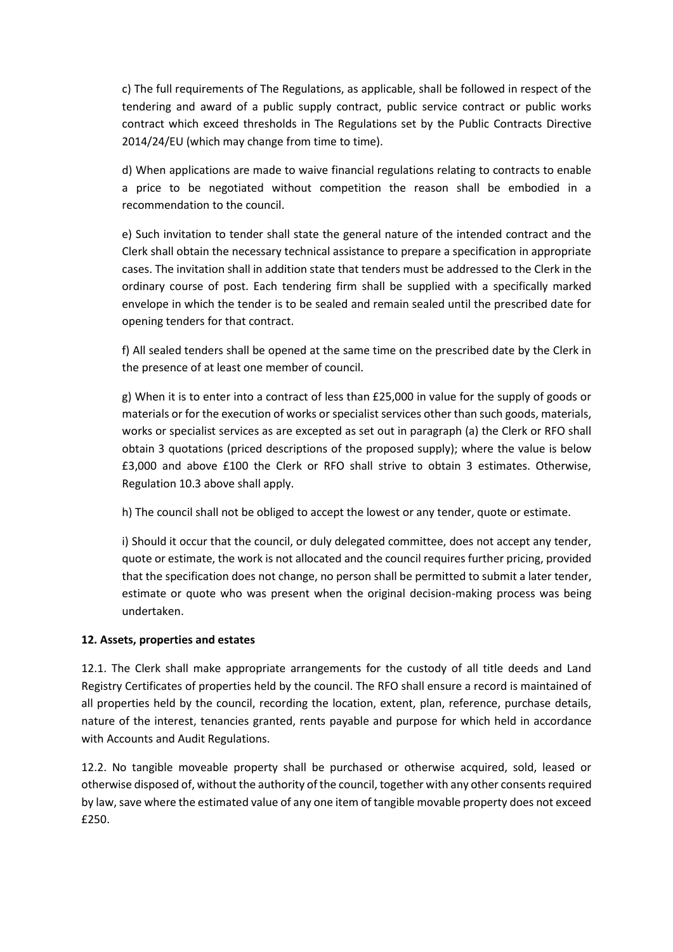c) The full requirements of The Regulations, as applicable, shall be followed in respect of the tendering and award of a public supply contract, public service contract or public works contract which exceed thresholds in The Regulations set by the Public Contracts Directive 2014/24/EU (which may change from time to time).

d) When applications are made to waive financial regulations relating to contracts to enable a price to be negotiated without competition the reason shall be embodied in a recommendation to the council.

e) Such invitation to tender shall state the general nature of the intended contract and the Clerk shall obtain the necessary technical assistance to prepare a specification in appropriate cases. The invitation shall in addition state that tenders must be addressed to the Clerk in the ordinary course of post. Each tendering firm shall be supplied with a specifically marked envelope in which the tender is to be sealed and remain sealed until the prescribed date for opening tenders for that contract.

f) All sealed tenders shall be opened at the same time on the prescribed date by the Clerk in the presence of at least one member of council.

g) When it is to enter into a contract of less than £25,000 in value for the supply of goods or materials or for the execution of works or specialist services other than such goods, materials, works or specialist services as are excepted as set out in paragraph (a) the Clerk or RFO shall obtain 3 quotations (priced descriptions of the proposed supply); where the value is below £3,000 and above £100 the Clerk or RFO shall strive to obtain 3 estimates. Otherwise, Regulation 10.3 above shall apply.

h) The council shall not be obliged to accept the lowest or any tender, quote or estimate.

i) Should it occur that the council, or duly delegated committee, does not accept any tender, quote or estimate, the work is not allocated and the council requires further pricing, provided that the specification does not change, no person shall be permitted to submit a later tender, estimate or quote who was present when the original decision-making process was being undertaken.

### **12. Assets, properties and estates**

12.1. The Clerk shall make appropriate arrangements for the custody of all title deeds and Land Registry Certificates of properties held by the council. The RFO shall ensure a record is maintained of all properties held by the council, recording the location, extent, plan, reference, purchase details, nature of the interest, tenancies granted, rents payable and purpose for which held in accordance with Accounts and Audit Regulations.

12.2. No tangible moveable property shall be purchased or otherwise acquired, sold, leased or otherwise disposed of, without the authority of the council, together with any other consents required by law, save where the estimated value of any one item of tangible movable property does not exceed £250.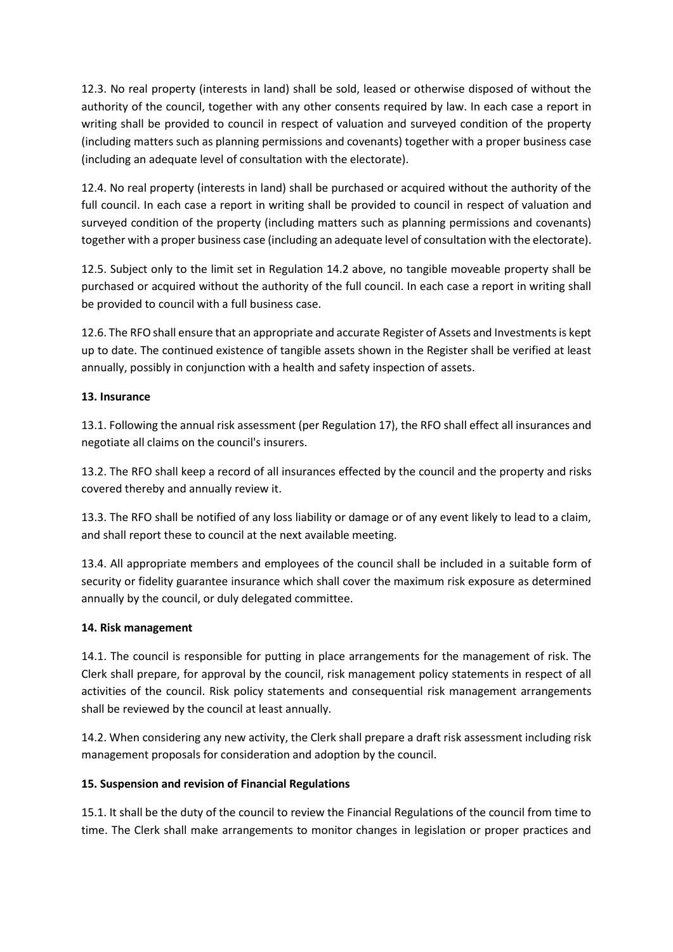12.3. No real property (interests in land) shall be sold, leased or otherwise disposed of without the authority of the council, together with any other consents required by law. In each case a report in writing shall be provided to council in respect of valuation and surveyed condition of the property (including matters such as planning permissions and covenants) together with a proper business case (including an adequate level of consultation with the electorate).

12.4. No real property (interests in land) shall be purchased or acquired without the authority of the full council. In each case a report in writing shall be provided to council in respect of valuation and surveyed condition of the property (including matters such as planning permissions and covenants) together with a proper business case (including an adequate level of consultation with the electorate).

12.5. Subject only to the limit set in Regulation 14.2 above, no tangible moveable property shall be purchased or acquired without the authority of the full council. In each case a report in writing shall be provided to council with a full business case.

12.6. The RFO shall ensure that an appropriate and accurate Register of Assets and Investments is kept up to date. The continued existence of tangible assets shown in the Register shall be verified at least annually, possibly in conjunction with a health and safety inspection of assets.

### **13. Insurance**

13.1. Following the annual risk assessment (per Regulation 17), the RFO shall effect all insurances and negotiate all claims on the council's insurers.

13.2. The RFO shall keep a record of all insurances effected by the council and the property and risks covered thereby and annually review it.

13.3. The RFO shall be notified of any loss liability or damage or of any event likely to lead to a claim, and shall report these to council at the next available meeting.

13.4. All appropriate members and employees of the council shall be included in a suitable form of security or fidelity guarantee insurance which shall cover the maximum risk exposure as determined annually by the council, or duly delegated committee.

### **14. Risk management**

14.1. The council is responsible for putting in place arrangements for the management of risk. The Clerk shall prepare, for approval by the council, risk management policy statements in respect of all activities of the council. Risk policy statements and consequential risk management arrangements shall be reviewed by the council at least annually.

14.2. When considering any new activity, the Clerk shall prepare a draft risk assessment including risk management proposals for consideration and adoption by the council.

### **15. Suspension and revision of Financial Regulations**

15.1. It shall be the duty of the council to review the Financial Regulations of the council from time to time. The Clerk shall make arrangements to monitor changes in legislation or proper practices and